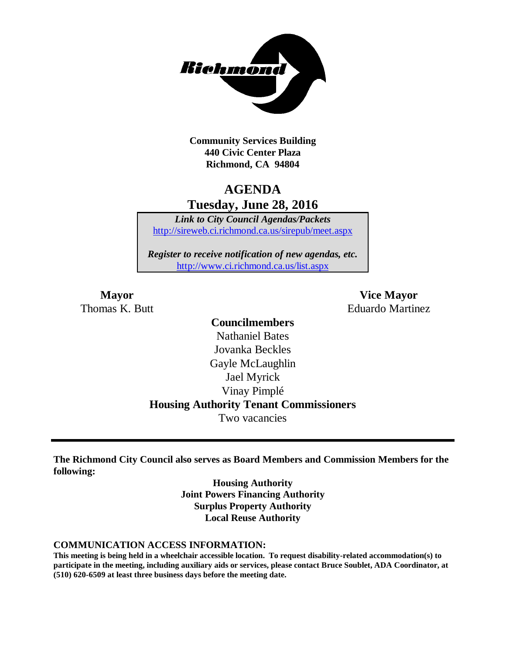

**Community Services Building 440 Civic Center Plaza Richmond, CA 94804**

# **AGENDA Tuesday, June 28, 2016**

*Link to City Council Agendas/Packets* <http://sireweb.ci.richmond.ca.us/sirepub/meet.aspx>

*Register to receive notification of new agendas, etc.* <http://www.ci.richmond.ca.us/list.aspx>

**Mayor Vice Mayor** Thomas K. Butt Eduardo Martinez

# **Councilmembers** Nathaniel Bates Jovanka Beckles Gayle McLaughlin Jael Myrick Vinay Pimplé **Housing Authority Tenant Commissioners**

Two vacancies

**The Richmond City Council also serves as Board Members and Commission Members for the following:**

> **Housing Authority Joint Powers Financing Authority Surplus Property Authority Local Reuse Authority**

#### **COMMUNICATION ACCESS INFORMATION:**

**This meeting is being held in a wheelchair accessible location. To request disability-related accommodation(s) to participate in the meeting, including auxiliary aids or services, please contact Bruce Soublet, ADA Coordinator, at (510) 620-6509 at least three business days before the meeting date.**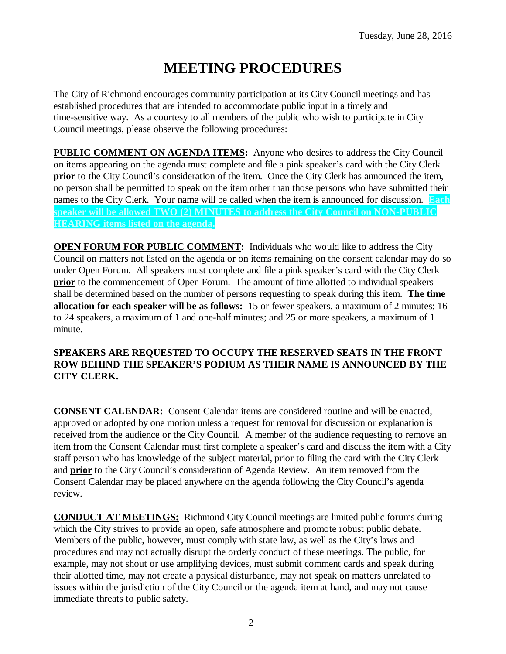# **MEETING PROCEDURES**

The City of Richmond encourages community participation at its City Council meetings and has established procedures that are intended to accommodate public input in a timely and time-sensitive way. As a courtesy to all members of the public who wish to participate in City Council meetings, please observe the following procedures:

**PUBLIC COMMENT ON AGENDA ITEMS:** Anyone who desires to address the City Council on items appearing on the agenda must complete and file a pink speaker's card with the City Clerk **prior** to the City Council's consideration of the item. Once the City Clerk has announced the item, no person shall be permitted to speak on the item other than those persons who have submitted their names to the City Clerk. Your name will be called when the item is announced for discussion. **Each speaker will be allowed TWO (2) MINUTES to address the City Council on NON-PUBLIC HEARING items listed on the agenda.**

**OPEN FORUM FOR PUBLIC COMMENT:** Individuals who would like to address the City Council on matters not listed on the agenda or on items remaining on the consent calendar may do so under Open Forum. All speakers must complete and file a pink speaker's card with the City Clerk **prior** to the commencement of Open Forum. The amount of time allotted to individual speakers shall be determined based on the number of persons requesting to speak during this item. **The time allocation for each speaker will be as follows:** 15 or fewer speakers, a maximum of 2 minutes; 16 to 24 speakers, a maximum of 1 and one-half minutes; and 25 or more speakers, a maximum of 1 minute.

### **SPEAKERS ARE REQUESTED TO OCCUPY THE RESERVED SEATS IN THE FRONT ROW BEHIND THE SPEAKER'S PODIUM AS THEIR NAME IS ANNOUNCED BY THE CITY CLERK.**

**CONSENT CALENDAR:** Consent Calendar items are considered routine and will be enacted, approved or adopted by one motion unless a request for removal for discussion or explanation is received from the audience or the City Council. A member of the audience requesting to remove an item from the Consent Calendar must first complete a speaker's card and discuss the item with a City staff person who has knowledge of the subject material, prior to filing the card with the City Clerk and **prior** to the City Council's consideration of Agenda Review. An item removed from the Consent Calendar may be placed anywhere on the agenda following the City Council's agenda review.

**CONDUCT AT MEETINGS:** Richmond City Council meetings are limited public forums during which the City strives to provide an open, safe atmosphere and promote robust public debate. Members of the public, however, must comply with state law, as well as the City's laws and procedures and may not actually disrupt the orderly conduct of these meetings. The public, for example, may not shout or use amplifying devices, must submit comment cards and speak during their allotted time, may not create a physical disturbance, may not speak on matters unrelated to issues within the jurisdiction of the City Council or the agenda item at hand, and may not cause immediate threats to public safety.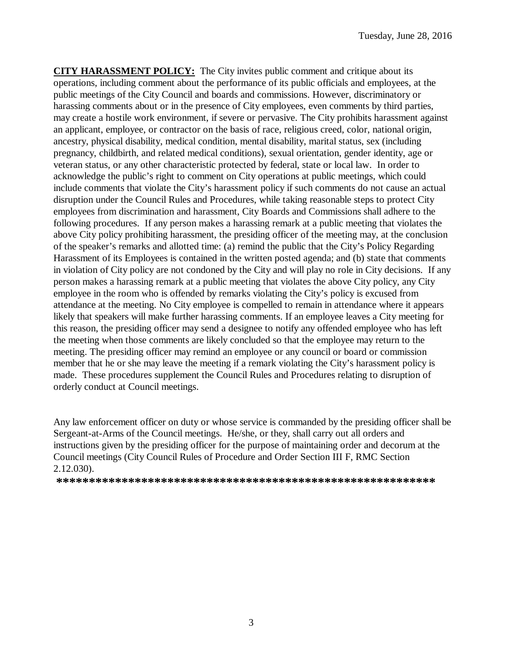**CITY HARASSMENT POLICY:** The City invites public comment and critique about its operations, including comment about the performance of its public officials and employees, at the public meetings of the City Council and boards and commissions. However, discriminatory or harassing comments about or in the presence of City employees, even comments by third parties, may create a hostile work environment, if severe or pervasive. The City prohibits harassment against an applicant, employee, or contractor on the basis of race, religious creed, color, national origin, ancestry, physical disability, medical condition, mental disability, marital status, sex (including pregnancy, childbirth, and related medical conditions), sexual orientation, gender identity, age or veteran status, or any other characteristic protected by federal, state or local law. In order to acknowledge the public's right to comment on City operations at public meetings, which could include comments that violate the City's harassment policy if such comments do not cause an actual disruption under the Council Rules and Procedures, while taking reasonable steps to protect City employees from discrimination and harassment, City Boards and Commissions shall adhere to the following procedures. If any person makes a harassing remark at a public meeting that violates the above City policy prohibiting harassment, the presiding officer of the meeting may, at the conclusion of the speaker's remarks and allotted time: (a) remind the public that the City's Policy Regarding Harassment of its Employees is contained in the written posted agenda; and (b) state that comments in violation of City policy are not condoned by the City and will play no role in City decisions. If any person makes a harassing remark at a public meeting that violates the above City policy, any City employee in the room who is offended by remarks violating the City's policy is excused from attendance at the meeting. No City employee is compelled to remain in attendance where it appears likely that speakers will make further harassing comments. If an employee leaves a City meeting for this reason, the presiding officer may send a designee to notify any offended employee who has left the meeting when those comments are likely concluded so that the employee may return to the meeting. The presiding officer may remind an employee or any council or board or commission member that he or she may leave the meeting if a remark violating the City's harassment policy is made. These procedures supplement the Council Rules and Procedures relating to disruption of orderly conduct at Council meetings.

Any law enforcement officer on duty or whose service is commanded by the presiding officer shall be Sergeant-at-Arms of the Council meetings. He/she, or they, shall carry out all orders and instructions given by the presiding officer for the purpose of maintaining order and decorum at the Council meetings (City Council Rules of Procedure and Order Section III F, RMC Section 2.12.030).

**\*\*\*\*\*\*\*\*\*\*\*\*\*\*\*\*\*\*\*\*\*\*\*\*\*\*\*\*\*\*\*\*\*\*\*\*\*\*\*\*\*\*\*\*\*\*\*\*\*\*\*\*\*\*\*\*\*\***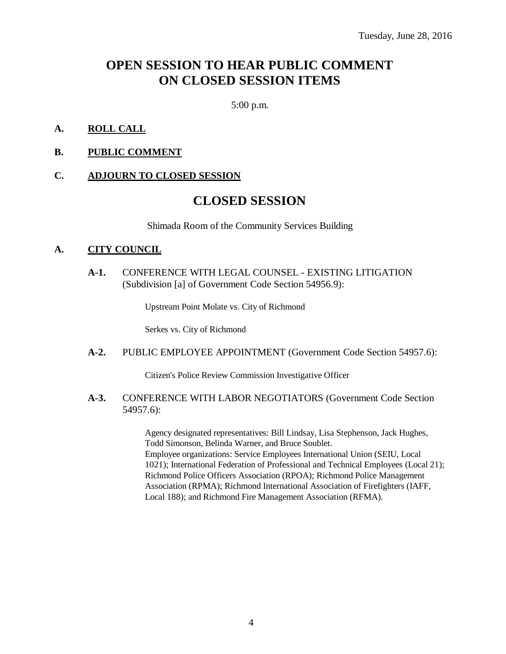# **OPEN SESSION TO HEAR PUBLIC COMMENT ON CLOSED SESSION ITEMS**

5:00 p.m.

#### **A. ROLL CALL**

#### **B. PUBLIC COMMENT**

#### **C. ADJOURN TO CLOSED SESSION**

# **CLOSED SESSION**

Shimada Room of the Community Services Building

#### **A. CITY COUNCIL**

**A-1.** CONFERENCE WITH LEGAL COUNSEL - EXISTING LITIGATION (Subdivision [a] of Government Code Section 54956.9):

Upstream Point Molate vs. City of Richmond

Serkes vs. City of Richmond

#### **A-2.** PUBLIC EMPLOYEE APPOINTMENT (Government Code Section 54957.6):

Citizen's Police Review Commission Investigative Officer

#### **A-3.** CONFERENCE WITH LABOR NEGOTIATORS (Government Code Section 54957.6):

Agency designated representatives: Bill Lindsay, Lisa Stephenson, Jack Hughes, Todd Simonson, Belinda Warner, and Bruce Soublet. Employee organizations: Service Employees International Union (SEIU, Local 1021); International Federation of Professional and Technical Employees (Local 21); Richmond Police Officers Association (RPOA); Richmond Police Management Association (RPMA); Richmond International Association of Firefighters (IAFF, Local 188); and Richmond Fire Management Association (RFMA).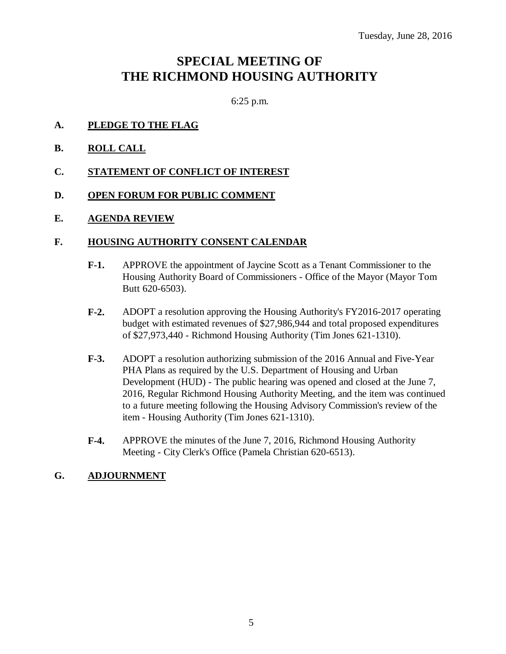# **SPECIAL MEETING OF THE RICHMOND HOUSING AUTHORITY**

6:25 p.m.

#### **A. PLEDGE TO THE FLAG**

**B. ROLL CALL**

#### **C. STATEMENT OF CONFLICT OF INTEREST**

#### **D. OPEN FORUM FOR PUBLIC COMMENT**

#### **E. AGENDA REVIEW**

#### **F. HOUSING AUTHORITY CONSENT CALENDAR**

- **F-1.** APPROVE the appointment of Jaycine Scott as a Tenant Commissioner to the Housing Authority Board of Commissioners - Office of the Mayor (Mayor Tom Butt 620-6503).
- **F-2.** ADOPT a resolution approving the Housing Authority's FY2016-2017 operating budget with estimated revenues of \$27,986,944 and total proposed expenditures of \$27,973,440 - Richmond Housing Authority (Tim Jones 621-1310).
- **F-3.** ADOPT a resolution authorizing submission of the 2016 Annual and Five-Year PHA Plans as required by the U.S. Department of Housing and Urban Development (HUD) - The public hearing was opened and closed at the June 7, 2016, Regular Richmond Housing Authority Meeting, and the item was continued to a future meeting following the Housing Advisory Commission's review of the item - Housing Authority (Tim Jones 621-1310).
- **F-4.** APPROVE the minutes of the June 7, 2016, Richmond Housing Authority Meeting - City Clerk's Office (Pamela Christian 620-6513).

#### **G. ADJOURNMENT**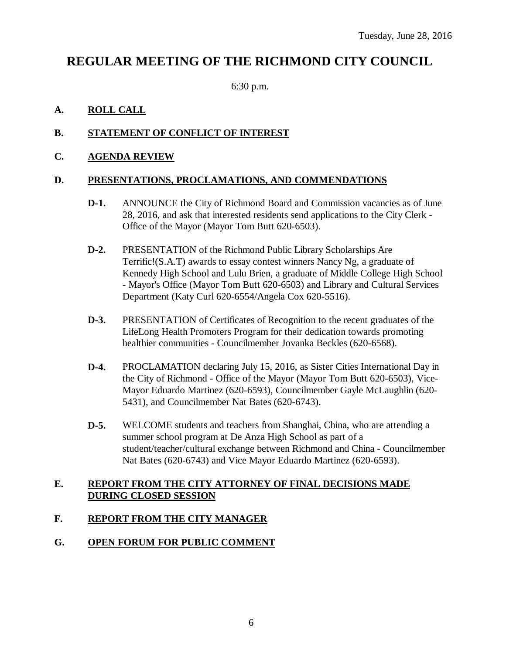# **REGULAR MEETING OF THE RICHMOND CITY COUNCIL**

6:30 p.m.

# **A. ROLL CALL**

# **B. STATEMENT OF CONFLICT OF INTEREST**

### **C. AGENDA REVIEW**

#### **D. PRESENTATIONS, PROCLAMATIONS, AND COMMENDATIONS**

- **D-1.** ANNOUNCE the City of Richmond Board and Commission vacancies as of June 28, 2016, and ask that interested residents send applications to the City Clerk - Office of the Mayor (Mayor Tom Butt 620-6503).
- **D-2.** PRESENTATION of the Richmond Public Library Scholarships Are Terrific!(S.A.T) awards to essay contest winners Nancy Ng, a graduate of Kennedy High School and Lulu Brien, a graduate of Middle College High School - Mayor's Office (Mayor Tom Butt 620-6503) and Library and Cultural Services Department (Katy Curl 620-6554/Angela Cox 620-5516).
- **D-3.** PRESENTATION of Certificates of Recognition to the recent graduates of the LifeLong Health Promoters Program for their dedication towards promoting healthier communities - Councilmember Jovanka Beckles (620-6568).
- **D-4.** PROCLAMATION declaring July 15, 2016, as Sister Cities International Day in the City of Richmond - Office of the Mayor (Mayor Tom Butt 620-6503), Vice-Mayor Eduardo Martinez (620-6593), Councilmember Gayle McLaughlin (620- 5431), and Councilmember Nat Bates (620-6743).
- **D-5.** WELCOME students and teachers from Shanghai, China, who are attending a summer school program at De Anza High School as part of a student/teacher/cultural exchange between Richmond and China - Councilmember Nat Bates (620-6743) and Vice Mayor Eduardo Martinez (620-6593).

#### **E. REPORT FROM THE CITY ATTORNEY OF FINAL DECISIONS MADE DURING CLOSED SESSION**

#### **F. REPORT FROM THE CITY MANAGER**

# **G. OPEN FORUM FOR PUBLIC COMMENT**